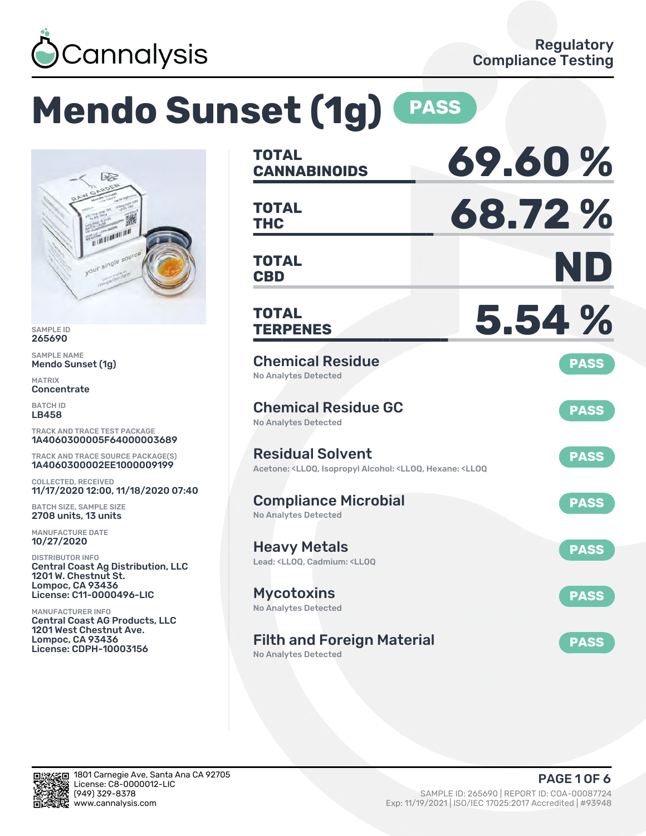

# **Mendo Sunset (1g) PASS**



SAMPLE ID 265690

SAMPLE NAME Mendo Sunset (1g)

MATRIX **Concentrate** 

BATCH ID LB458

TRACK AND TRACE TEST PACKAGE 1A4060300005F64000003689

TRACK AND TRACE SOURCE PACKAGE(S) 1A4060300002EE1000009199

COLLECTED, RECEIVED 11/17/2020 12:00, 11/18/2020 07:40

BATCH SIZE, SAMPLE SIZE 2708 units, 13 units

MANUFACTURE DATE 10/27/2020

DISTRIBUTOR INFO Central Coast Ag Distribution, LLC 1201 W. Chestnut St. Lompoc, CA 93436 License: C11-0000496-LIC

MANUFACTURER INFO Central Coast AG Products, LLC 1201 West Chestnut Ave. Lompoc, CA 93436 License: CDPH-10003156

| <b>TOTAL</b><br><b>CANNABINOIDS</b>                                                                                                   | 69.60%      |
|---------------------------------------------------------------------------------------------------------------------------------------|-------------|
| <b>TOTAL</b><br><b>THC</b>                                                                                                            | 68.72%      |
| <b>TOTAL</b><br><b>CBD</b>                                                                                                            | ND          |
| <b>TOTAL</b><br><b>TERPENES</b>                                                                                                       | 5.54 %      |
| <b>Chemical Residue</b><br><b>No Analytes Detected</b>                                                                                | <b>PASS</b> |
| <b>Chemical Residue GC</b><br><b>No Analytes Detected</b>                                                                             | <b>PASS</b> |
| <b>Residual Solvent</b><br>Acetone: <lloq, <lloq,="" <lloq<="" alcohol:="" hexane:="" isopropyl="" td=""><td><b>PASS</b></td></lloq,> | <b>PASS</b> |
| <b>Compliance Microbial</b><br><b>No Analytes Detected</b>                                                                            | <b>PASS</b> |
| <b>Heavy Metals</b><br>Lead: <ll00, <ll00<="" cadmium:="" td=""><td><b>PASS</b></td></ll00,>                                          | <b>PASS</b> |
| <b>Mycotoxins</b><br><b>No Analytes Detected</b>                                                                                      | <b>PASS</b> |
| <b>Filth and Foreign Material</b><br><b>No Analytes Detected</b>                                                                      | <b>PASS</b> |

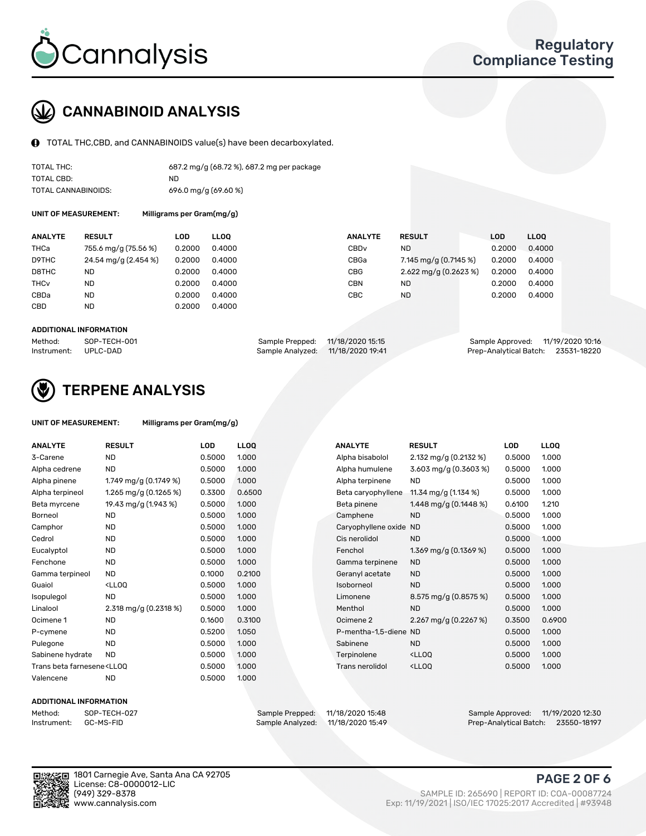

### CANNABINOID ANALYSIS

TOTAL THC,CBD, and CANNABINOIDS value(s) have been decarboxylated.

| TOTAL THC:          | 687.2 mg/g (68.72 %), 687.2 mg per package |
|---------------------|--------------------------------------------|
| TOTAL CBD:          | ND.                                        |
| TOTAL CANNABINOIDS: | $696.0$ mg/g $(69.60\%)$                   |

UNIT OF MEASUREMENT: Milligrams per Gram(mg/g)

| <b>ANALYTE</b>         | <b>RESULT</b>        | <b>LOD</b> | <b>LLOO</b> | <b>ANALYTE</b>   | <b>RESULT</b>           | <b>LOD</b> | LL <sub>00</sub> |
|------------------------|----------------------|------------|-------------|------------------|-------------------------|------------|------------------|
| THCa                   | 755.6 mg/g (75.56 %) | 0.2000     | 0.4000      | CBD <sub>v</sub> | <b>ND</b>               | 0.2000     | 0.4000           |
| D9THC                  | 24.54 mg/g (2.454 %) | 0.2000     | 0.4000      | CBGa             | 7.145 mg/g (0.7145 %)   | 0.2000     | 0.4000           |
| D8THC                  | <b>ND</b>            | 0.2000     | 0.4000      | <b>CBG</b>       | $2.622$ mg/g (0.2623 %) | 0.2000     | 0.4000           |
| <b>THC<sub>v</sub></b> | <b>ND</b>            | 0.2000     | 0.4000      | CBN              | <b>ND</b>               | 0.2000     | 0.4000           |
| CBDa                   | <b>ND</b>            | 0.2000     | 0.4000      | CBC              | <b>ND</b>               | 0.2000     | 0.4000           |
| <b>CBD</b>             | <b>ND</b>            | 0.2000     | 0.4000      |                  |                         |            |                  |
|                        |                      |            |             |                  |                         |            |                  |

#### ADDITIONAL INFORMATION

| Method:              | SOP-TECH-001 | Sample Prepped: 11/18/2020 15:15  | Sample Approved: 11/19/2020 10:16  |  |
|----------------------|--------------|-----------------------------------|------------------------------------|--|
| Instrument: UPLC-DAD |              | Sample Analyzed: 11/18/2020 19:41 | Prep-Analytical Batch: 23531-18220 |  |



### TERPENE ANALYSIS

| UNIT OF MEASUREMENT: | Milligrams per Gram(mg/g) |
|----------------------|---------------------------|
|----------------------|---------------------------|

| <b>ANALYTE</b>                                                                                                                                                      | <b>RESULT</b>                                                                                                        | LOD    | <b>LLOO</b> | <b>ANALYTE</b>        | <b>RESULT</b>                                      | <b>LOD</b> | <b>LLOO</b> |
|---------------------------------------------------------------------------------------------------------------------------------------------------------------------|----------------------------------------------------------------------------------------------------------------------|--------|-------------|-----------------------|----------------------------------------------------|------------|-------------|
| 3-Carene                                                                                                                                                            | <b>ND</b>                                                                                                            | 0.5000 | 1.000       | Alpha bisabolol       | 2.132 mg/g (0.2132 %)                              | 0.5000     | 1.000       |
| Alpha cedrene                                                                                                                                                       | <b>ND</b>                                                                                                            | 0.5000 | 1.000       | Alpha humulene        | 3.603 mg/g (0.3603 %)                              | 0.5000     | 1.000       |
| Alpha pinene                                                                                                                                                        | 1.749 mg/g $(0.1749\%)$                                                                                              | 0.5000 | 1.000       | Alpha terpinene       | <b>ND</b>                                          | 0.5000     | 1.000       |
| Alpha terpineol                                                                                                                                                     | 1.265 mg/g $(0.1265%)$                                                                                               | 0.3300 | 0.6500      | Beta caryophyllene    | 11.34 mg/g (1.134 %)                               | 0.5000     | 1.000       |
| Beta myrcene                                                                                                                                                        | 19.43 mg/g (1.943 %)                                                                                                 | 0.5000 | 1.000       | Beta pinene           | 1.448 mg/g $(0.1448\%)$                            | 0.6100     | 1.210       |
| <b>Borneol</b>                                                                                                                                                      | <b>ND</b>                                                                                                            | 0.5000 | 1.000       | Camphene              | <b>ND</b>                                          | 0.5000     | 1.000       |
| Camphor                                                                                                                                                             | <b>ND</b>                                                                                                            | 0.5000 | 1.000       | Caryophyllene oxide   | <b>ND</b>                                          | 0.5000     | 1.000       |
| Cedrol                                                                                                                                                              | <b>ND</b>                                                                                                            | 0.5000 | 1.000       | Cis nerolidol         | <b>ND</b>                                          | 0.5000     | 1.000       |
| Eucalyptol                                                                                                                                                          | <b>ND</b>                                                                                                            | 0.5000 | 1.000       | Fenchol               | 1.369 mg/g (0.1369 %)                              | 0.5000     | 1.000       |
| Fenchone                                                                                                                                                            | <b>ND</b>                                                                                                            | 0.5000 | 1.000       | Gamma terpinene       | <b>ND</b>                                          | 0.5000     | 1.000       |
| Gamma terpineol                                                                                                                                                     | <b>ND</b>                                                                                                            | 0.1000 | 0.2100      | Geranyl acetate       | <b>ND</b>                                          | 0.5000     | 1.000       |
| Guaiol                                                                                                                                                              | <ll0q< td=""><td>0.5000</td><td>1.000</td><td>Isoborneol</td><td><b>ND</b></td><td>0.5000</td><td>1.000</td></ll0q<> | 0.5000 | 1.000       | Isoborneol            | <b>ND</b>                                          | 0.5000     | 1.000       |
| Isopulegol                                                                                                                                                          | <b>ND</b>                                                                                                            | 0.5000 | 1.000       | Limonene              | 8.575 mg/g $(0.8575%)$                             | 0.5000     | 1.000       |
| Linalool                                                                                                                                                            | 2.318 mg/g (0.2318 %)                                                                                                | 0.5000 | 1.000       | Menthol               | <b>ND</b>                                          | 0.5000     | 1.000       |
| Ocimene 1                                                                                                                                                           | <b>ND</b>                                                                                                            | 0.1600 | 0.3100      | Ocimene 2             | 2.267 mg/g $(0.2267%)$                             | 0.3500     | 0.6900      |
| P-cymene                                                                                                                                                            | <b>ND</b>                                                                                                            | 0.5200 | 1.050       | P-mentha-1,5-diene ND |                                                    | 0.5000     | 1.000       |
| Pulegone                                                                                                                                                            | <b>ND</b>                                                                                                            | 0.5000 | 1.000       | Sabinene              | <b>ND</b>                                          | 0.5000     | 1.000       |
| Sabinene hydrate                                                                                                                                                    | <b>ND</b>                                                                                                            | 0.5000 | 1.000       | Terpinolene           | <lloq< td=""><td>0.5000</td><td>1.000</td></lloq<> | 0.5000     | 1.000       |
| Trans beta farnesene <ll00< td=""><td></td><td>0.5000</td><td>1.000</td><td>Trans nerolidol</td><td><lloq< td=""><td>0.5000</td><td>1.000</td></lloq<></td></ll00<> |                                                                                                                      | 0.5000 | 1.000       | Trans nerolidol       | <lloq< td=""><td>0.5000</td><td>1.000</td></lloq<> | 0.5000     | 1.000       |
| Valencene                                                                                                                                                           | <b>ND</b>                                                                                                            | 0.5000 | 1.000       |                       |                                                    |            |             |

#### ADDITIONAL INFORMATION



Method: SOP-TECH-027 Sample Prepped: 11/18/2020 15:48 Sample Approved: 11/19/2020 12:30 Prep-Analytical Batch: 23550-18197

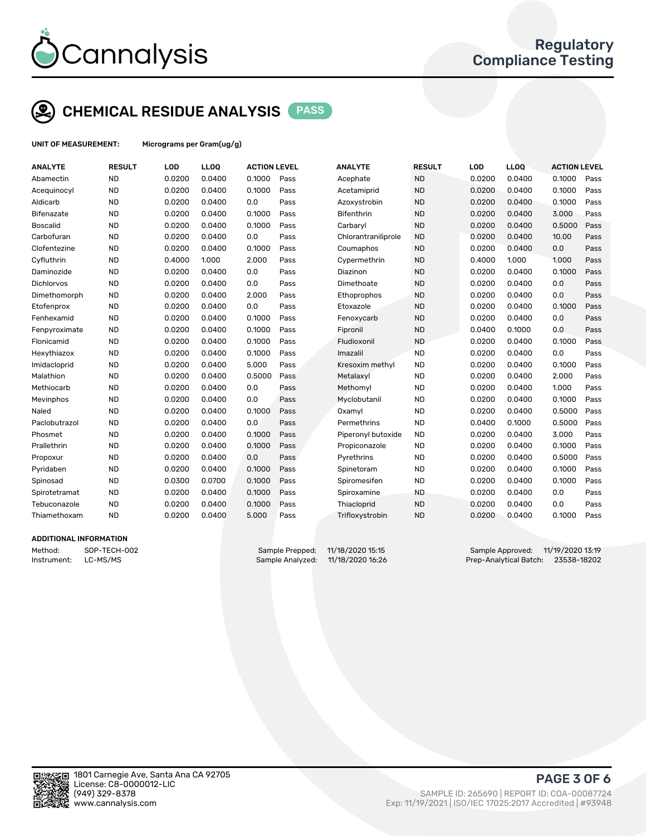

### CHEMICAL RESIDUE ANALYSIS PASS

UNIT OF MEASUREMENT: Micrograms per Gram(ug/g)

| <b>ANALYTE</b>                | <b>RESULT</b> | LOD    | LLOQ   | <b>ACTION LEVEL</b> |      | <b>ANALYTE</b>      | <b>RESULT</b> | LOD    | <b>LLOQ</b> | <b>ACTION LEVEL</b> |      |
|-------------------------------|---------------|--------|--------|---------------------|------|---------------------|---------------|--------|-------------|---------------------|------|
| Abamectin                     | <b>ND</b>     | 0.0200 | 0.0400 | 0.1000              | Pass | Acephate            | <b>ND</b>     | 0.0200 | 0.0400      | 0.1000              | Pass |
| Acequinocyl                   | <b>ND</b>     | 0.0200 | 0.0400 | 0.1000              | Pass | Acetamiprid         | <b>ND</b>     | 0.0200 | 0.0400      | 0.1000              | Pass |
| Aldicarb                      | <b>ND</b>     | 0.0200 | 0.0400 | 0.0                 | Pass | Azoxystrobin        | <b>ND</b>     | 0.0200 | 0.0400      | 0.1000              | Pass |
| <b>Bifenazate</b>             | <b>ND</b>     | 0.0200 | 0.0400 | 0.1000              | Pass | <b>Bifenthrin</b>   | <b>ND</b>     | 0.0200 | 0.0400      | 3.000               | Pass |
| <b>Boscalid</b>               | <b>ND</b>     | 0.0200 | 0.0400 | 0.1000              | Pass | Carbaryl            | <b>ND</b>     | 0.0200 | 0.0400      | 0.5000              | Pass |
| Carbofuran                    | <b>ND</b>     | 0.0200 | 0.0400 | 0.0                 | Pass | Chlorantraniliprole | <b>ND</b>     | 0.0200 | 0.0400      | 10.00               | Pass |
| Clofentezine                  | <b>ND</b>     | 0.0200 | 0.0400 | 0.1000              | Pass | Coumaphos           | <b>ND</b>     | 0.0200 | 0.0400      | 0.0                 | Pass |
| Cyfluthrin                    | <b>ND</b>     | 0.4000 | 1.000  | 2.000               | Pass | Cypermethrin        | <b>ND</b>     | 0.4000 | 1.000       | 1.000               | Pass |
| Daminozide                    | <b>ND</b>     | 0.0200 | 0.0400 | 0.0                 | Pass | Diazinon            | <b>ND</b>     | 0.0200 | 0.0400      | 0.1000              | Pass |
| Dichlorvos                    | <b>ND</b>     | 0.0200 | 0.0400 | 0.0                 | Pass | Dimethoate          | <b>ND</b>     | 0.0200 | 0.0400      | 0.0                 | Pass |
| Dimethomorph                  | <b>ND</b>     | 0.0200 | 0.0400 | 2.000               | Pass | Ethoprophos         | <b>ND</b>     | 0.0200 | 0.0400      | 0.0                 | Pass |
| Etofenprox                    | <b>ND</b>     | 0.0200 | 0.0400 | 0.0                 | Pass | Etoxazole           | <b>ND</b>     | 0.0200 | 0.0400      | 0.1000              | Pass |
| Fenhexamid                    | <b>ND</b>     | 0.0200 | 0.0400 | 0.1000              | Pass | Fenoxycarb          | <b>ND</b>     | 0.0200 | 0.0400      | 0.0                 | Pass |
| Fenpyroximate                 | <b>ND</b>     | 0.0200 | 0.0400 | 0.1000              | Pass | Fipronil            | <b>ND</b>     | 0.0400 | 0.1000      | 0.0                 | Pass |
| Flonicamid                    | <b>ND</b>     | 0.0200 | 0.0400 | 0.1000              | Pass | Fludioxonil         | <b>ND</b>     | 0.0200 | 0.0400      | 0.1000              | Pass |
| Hexythiazox                   | <b>ND</b>     | 0.0200 | 0.0400 | 0.1000              | Pass | Imazalil            | <b>ND</b>     | 0.0200 | 0.0400      | 0.0                 | Pass |
| Imidacloprid                  | <b>ND</b>     | 0.0200 | 0.0400 | 5.000               | Pass | Kresoxim methyl     | <b>ND</b>     | 0.0200 | 0.0400      | 0.1000              | Pass |
| Malathion                     | <b>ND</b>     | 0.0200 | 0.0400 | 0.5000              | Pass | Metalaxyl           | <b>ND</b>     | 0.0200 | 0.0400      | 2.000               | Pass |
| Methiocarb                    | <b>ND</b>     | 0.0200 | 0.0400 | 0.0                 | Pass | Methomyl            | <b>ND</b>     | 0.0200 | 0.0400      | 1.000               | Pass |
| Mevinphos                     | <b>ND</b>     | 0.0200 | 0.0400 | 0.0                 | Pass | Myclobutanil        | <b>ND</b>     | 0.0200 | 0.0400      | 0.1000              | Pass |
| Naled                         | <b>ND</b>     | 0.0200 | 0.0400 | 0.1000              | Pass | Oxamyl              | <b>ND</b>     | 0.0200 | 0.0400      | 0.5000              | Pass |
| Paclobutrazol                 | <b>ND</b>     | 0.0200 | 0.0400 | 0.0                 | Pass | Permethrins         | <b>ND</b>     | 0.0400 | 0.1000      | 0.5000              | Pass |
| Phosmet                       | <b>ND</b>     | 0.0200 | 0.0400 | 0.1000              | Pass | Piperonyl butoxide  | <b>ND</b>     | 0.0200 | 0.0400      | 3.000               | Pass |
| Prallethrin                   | <b>ND</b>     | 0.0200 | 0.0400 | 0.1000              | Pass | Propiconazole       | <b>ND</b>     | 0.0200 | 0.0400      | 0.1000              | Pass |
| Propoxur                      | <b>ND</b>     | 0.0200 | 0.0400 | 0.0                 | Pass | Pyrethrins          | <b>ND</b>     | 0.0200 | 0.0400      | 0.5000              | Pass |
| Pyridaben                     | <b>ND</b>     | 0.0200 | 0.0400 | 0.1000              | Pass | Spinetoram          | <b>ND</b>     | 0.0200 | 0.0400      | 0.1000              | Pass |
| Spinosad                      | <b>ND</b>     | 0.0300 | 0.0700 | 0.1000              | Pass | Spiromesifen        | <b>ND</b>     | 0.0200 | 0.0400      | 0.1000              | Pass |
| Spirotetramat                 | <b>ND</b>     | 0.0200 | 0.0400 | 0.1000              | Pass | Spiroxamine         | <b>ND</b>     | 0.0200 | 0.0400      | 0.0                 | Pass |
| Tebuconazole                  | <b>ND</b>     | 0.0200 | 0.0400 | 0.1000              | Pass | Thiacloprid         | <b>ND</b>     | 0.0200 | 0.0400      | 0.0                 | Pass |
| Thiamethoxam                  | <b>ND</b>     | 0.0200 | 0.0400 | 5.000               | Pass | Trifloxystrobin     | <b>ND</b>     | 0.0200 | 0.0400      | 0.1000              | Pass |
| <b>ADDITIONAL INFODMATION</b> |               |        |        |                     |      |                     |               |        |             |                     |      |



Method: SOP-TECH-002 Sample Prepped: 11/18/2020 15:15 Sample Approved: 11/19/2020 13:19 Instrument: LC-MS/MS Sample Analyzed: 11/18/2020 16:26 Prep-Analytical Batch: 23538-18202



PAGE 3 OF 6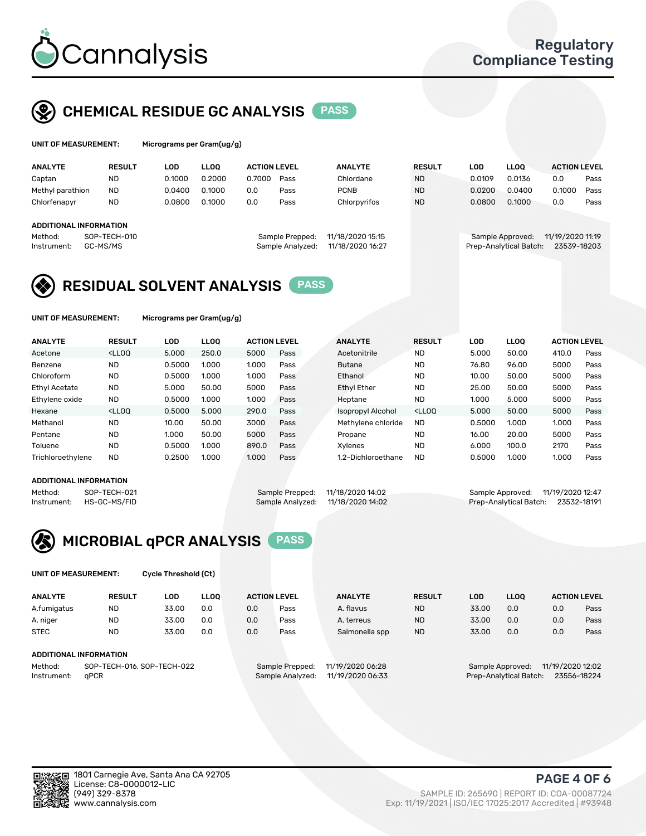

### CHEMICAL RESIDUE GC ANALYSIS PASS

| UNIT OF MEASUREMENT: |               | Micrograms per Gram(ug/g) |        |                     |                |               |        |        |                     |      |
|----------------------|---------------|---------------------------|--------|---------------------|----------------|---------------|--------|--------|---------------------|------|
| <b>ANALYTE</b>       | <b>RESUL1</b> | LOD                       | LLOO.  | <b>ACTION LEVEL</b> | <b>ANALYTE</b> | <b>RESULT</b> | LOD    | LLOO   | <b>ACTION LEVEL</b> |      |
| Captan               | ND            | 0.1000                    | 0.2000 | 0.7000<br>Pass      | Chlordane      | <b>ND</b>     | 0.0109 | 0.0136 | 0.0                 | Pass |

| Captan<br>Methyl parathion    | <b>ND</b><br><b>ND</b>   | 0.1000<br>0.0400 | 0.2000<br>0.1000 | 0.7000<br>0.0 | Pass<br>Pass                        | Chlordane<br><b>PCNB</b>             | <b>ND</b><br><b>ND</b> | 0.0109<br>0.0200 | 0.0136<br>0.0400                           | 0.0<br>0.1000                   | Pass<br>Pass |
|-------------------------------|--------------------------|------------------|------------------|---------------|-------------------------------------|--------------------------------------|------------------------|------------------|--------------------------------------------|---------------------------------|--------------|
| Chlorfenapyr                  | <b>ND</b>                | 0.0800           | 0.1000           | 0.0           | Pass                                | Chlorpyrifos                         | <b>ND</b>              | 0.0800           | 0.1000                                     | 0.0                             | Pass         |
| <b>ADDITIONAL INFORMATION</b> |                          |                  |                  |               |                                     |                                      |                        |                  |                                            |                                 |              |
| Method:<br>Instrument:        | SOP-TECH-010<br>GC-MS/MS |                  |                  |               | Sample Prepped:<br>Sample Analyzed: | 11/18/2020 15:15<br>11/18/2020 16:27 |                        |                  | Sample Approved:<br>Prep-Analytical Batch: | 11/19/2020 11:19<br>23539-18203 |              |

### RESIDUAL SOLVENT ANALYSIS PASS

UNIT OF MEASUREMENT: Micrograms per Gram(ug/g)

| <b>ANALYTE</b>       | <b>RESULT</b>                                                                                                                                                                                      | LOD    | <b>LLOO</b> | <b>ACTION LEVEL</b> |      | <b>ANALYTE</b>           | <b>RESULT</b>                                                               | LOD    | <b>LLOO</b> | <b>ACTION LEVEL</b> |      |
|----------------------|----------------------------------------------------------------------------------------------------------------------------------------------------------------------------------------------------|--------|-------------|---------------------|------|--------------------------|-----------------------------------------------------------------------------|--------|-------------|---------------------|------|
| Acetone              | <lloo< td=""><td>5.000</td><td>250.0</td><td>5000</td><td>Pass</td><td>Acetonitrile</td><td><b>ND</b></td><td>5.000</td><td>50.00</td><td>410.0</td><td>Pass</td></lloo<>                          | 5.000  | 250.0       | 5000                | Pass | Acetonitrile             | <b>ND</b>                                                                   | 5.000  | 50.00       | 410.0               | Pass |
| Benzene              | <b>ND</b>                                                                                                                                                                                          | 0.5000 | 1.000       | 1.000               | Pass | <b>Butane</b>            | <b>ND</b>                                                                   | 76.80  | 96.00       | 5000                | Pass |
| Chloroform           | <b>ND</b>                                                                                                                                                                                          | 0.5000 | 1.000       | 1.000               | Pass | Ethanol                  | <b>ND</b>                                                                   | 10.00  | 50.00       | 5000                | Pass |
| <b>Ethyl Acetate</b> | <b>ND</b>                                                                                                                                                                                          | 5.000  | 50.00       | 5000                | Pass | <b>Ethyl Ether</b>       | <b>ND</b>                                                                   | 25.00  | 50.00       | 5000                | Pass |
| Ethylene oxide       | <b>ND</b>                                                                                                                                                                                          | 0.5000 | 1.000       | 1.000               | Pass | Heptane                  | <b>ND</b>                                                                   | 1.000  | 5.000       | 5000                | Pass |
| Hexane               | <lloo< td=""><td>0.5000</td><td>5.000</td><td>290.0</td><td>Pass</td><td><b>Isopropyl Alcohol</b></td><td><lloo< td=""><td>5.000</td><td>50.00</td><td>5000</td><td>Pass</td></lloo<></td></lloo<> | 0.5000 | 5.000       | 290.0               | Pass | <b>Isopropyl Alcohol</b> | <lloo< td=""><td>5.000</td><td>50.00</td><td>5000</td><td>Pass</td></lloo<> | 5.000  | 50.00       | 5000                | Pass |
| Methanol             | <b>ND</b>                                                                                                                                                                                          | 10.00  | 50.00       | 3000                | Pass | Methylene chloride       | <b>ND</b>                                                                   | 0.5000 | 1.000       | 1.000               | Pass |
| Pentane              | <b>ND</b>                                                                                                                                                                                          | 1.000  | 50.00       | 5000                | Pass | Propane                  | <b>ND</b>                                                                   | 16.00  | 20.00       | 5000                | Pass |
| Toluene              | <b>ND</b>                                                                                                                                                                                          | 0.5000 | 1.000       | 890.0               | Pass | Xvlenes                  | <b>ND</b>                                                                   | 6.000  | 100.0       | 2170                | Pass |
| Trichloroethylene    | <b>ND</b>                                                                                                                                                                                          | 0.2500 | 1.000       | 1.000               | Pass | 1.2-Dichloroethane       | <b>ND</b>                                                                   | 0.5000 | 1.000       | 1.000               | Pass |

#### ADDITIONAL INFORMATION

| ADDITIONAL INFORMATION                                 |                                                                       |                                                                         |  |
|--------------------------------------------------------|-----------------------------------------------------------------------|-------------------------------------------------------------------------|--|
| Method:<br>SOP-TECH-021<br>HS-GC-MS/FID<br>Instrument: | Sample Prepped: 11/18/2020 14:02<br>Sample Analyzed: 11/18/2020 14:02 | Sample Approved: 11/19/2020 12:47<br>Prep-Analytical Batch: 23532-18191 |  |



UNIT OF MEASUREMENT: Cycle Threshold (Ct)

| <b>ANALYTE</b> | <b>RESULT</b>              | LOD   | <b>LLOO</b> |     | <b>ACTION LEVEL</b> | <b>ANALYTE</b>   | <b>RESULT</b> | <b>LOD</b> | <b>LLOO</b>            |                  | <b>ACTION LEVEL</b> |
|----------------|----------------------------|-------|-------------|-----|---------------------|------------------|---------------|------------|------------------------|------------------|---------------------|
| A.fumigatus    | <b>ND</b>                  | 33.00 | 0.0         | 0.0 | Pass                | A. flavus        | <b>ND</b>     | 33.00      | 0.0                    | 0.0              | Pass                |
| A. niger       | <b>ND</b>                  | 33.00 | 0.0         | 0.0 | Pass                | A. terreus       | <b>ND</b>     | 33.00      | 0.0                    | 0.0              | Pass                |
| <b>STEC</b>    | <b>ND</b>                  | 33.00 | 0.0         | 0.0 | Pass                | Salmonella spp   | <b>ND</b>     | 33.00      | 0.0                    | 0.0              | Pass                |
|                | ADDITIONAL INFORMATION     |       |             |     |                     |                  |               |            |                        |                  |                     |
| Method:        | SOP-TECH-016, SOP-TECH-022 |       |             |     | Sample Prepped:     | 11/19/2020 06:28 |               |            | Sample Approved:       | 11/19/2020 12:02 |                     |
| Instrument:    | aPCR                       |       |             |     | Sample Analyzed:    | 11/19/2020 06:33 |               |            | Prep-Analytical Batch: |                  | 23556-18224         |

PAGE 4 OF 6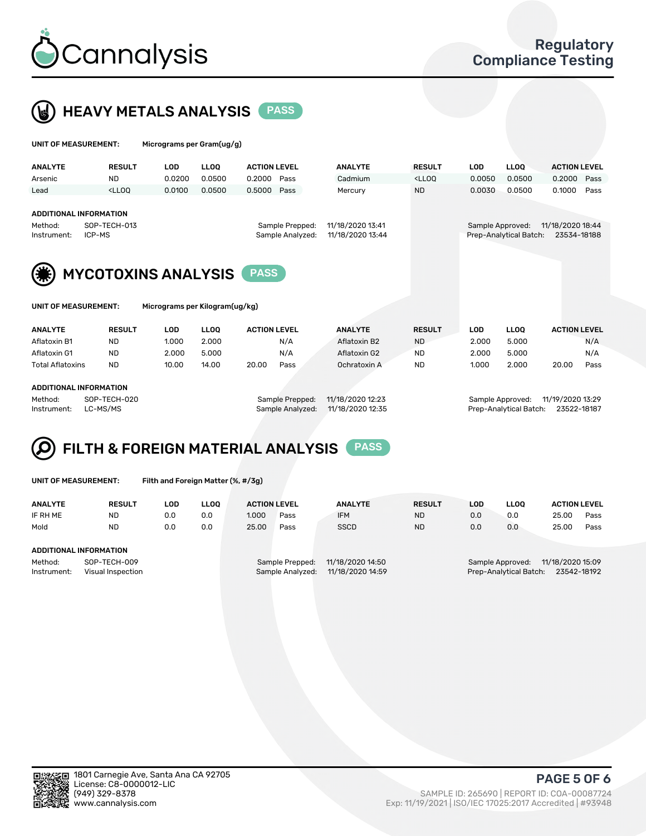



| UNIT OF MEASUREMENT:                                                       |                                                                                                                                                                             | Micrograms per Gram(ug/g) |             |                     |                                     |                                      |               |                  |                        |                                 |      |
|----------------------------------------------------------------------------|-----------------------------------------------------------------------------------------------------------------------------------------------------------------------------|---------------------------|-------------|---------------------|-------------------------------------|--------------------------------------|---------------|------------------|------------------------|---------------------------------|------|
| <b>ANALYTE</b>                                                             | <b>RESULT</b>                                                                                                                                                               | <b>LOD</b>                | <b>LLOO</b> | <b>ACTION LEVEL</b> |                                     | <b>ANALYTE</b>                       | <b>RESULT</b> | <b>LOD</b>       | <b>LLOO</b>            | <b>ACTION LEVEL</b>             |      |
| Arsenic                                                                    | <b>ND</b>                                                                                                                                                                   | 0.0200                    | 0.0500      | 0.2000              | Pass                                | Cadmium                              | $<$ LLOO      | 0.0050           | 0.0500                 | 0.2000                          | Pass |
| Lead                                                                       | <lloo< td=""><td>0.0100</td><td>0.0500</td><td>0.5000</td><td>Pass</td><td>Mercury</td><td><b>ND</b></td><td>0.0030</td><td>0.0500</td><td>0.1000</td><td>Pass</td></lloo<> | 0.0100                    | 0.0500      | 0.5000              | Pass                                | Mercury                              | <b>ND</b>     | 0.0030           | 0.0500                 | 0.1000                          | Pass |
| ADDITIONAL INFORMATION<br>SOP-TECH-013<br>Method:<br>ICP-MS<br>Instrument: |                                                                                                                                                                             |                           |             |                     | Sample Prepped:<br>Sample Analyzed: | 11/18/2020 13:41<br>11/18/2020 13:44 |               | Sample Approved: | Prep-Analytical Batch: | 11/18/2020 18:44<br>23534-18188 |      |
| (美)                                                                        | <b>MYCOTOXINS ANALYSIS</b>                                                                                                                                                  |                           |             |                     |                                     |                                      |               |                  |                        |                                 |      |

| <b>INIT OF MEASHDEMENT</b> |  |  |  |
|----------------------------|--|--|--|

UNIT OF MEASUREMENT: Micrograms per Kilogram(ug/kg)

| <b>ANALYTE</b>          | <b>RESULT</b> | LOD   | <b>LLOO</b> | <b>ACTION LEVEL</b> | <b>ANALYTE</b> | <b>RESULT</b> | LOD   | <b>LLOO</b> | <b>ACTION LEVEL</b> |
|-------------------------|---------------|-------|-------------|---------------------|----------------|---------------|-------|-------------|---------------------|
| Aflatoxin B1            | ND            | 1.000 | 2.000       | N/A                 | Aflatoxin B2   | <b>ND</b>     | 2.000 | 5.000       | N/A                 |
| Aflatoxin G1            | <b>ND</b>     | 2.000 | 5.000       | N/A                 | Aflatoxin G2   | <b>ND</b>     | 2.000 | 5.000       | N/A                 |
| <b>Total Aflatoxins</b> | <b>ND</b>     | 10.00 | 14.00       | 20.00<br>Pass       | Ochratoxin A   | <b>ND</b>     | 1.000 | 2.000       | 20.00<br>Pass       |
|                         |               |       |             |                     |                |               |       |             |                     |
| ADDITIONAL INFORMATION  |               |       |             |                     |                |               |       |             |                     |

#### ADDITIONAL INFORMATION

Method: SOP-TECH-020 Sample Prepped: 11/18/2020 12:23 Sample Approved: 11/19/2020 13:29 Instrument: LC-MS/MS Sample Analyzed: 11/18/2020 12:35 Prep-Analytical Batch: 23522-18187

## FILTH & FOREIGN MATERIAL ANALYSIS PASS

UNIT OF MEASUREMENT: Filth and Foreign Matter (%, #/3g)

| <b>ANALYTE</b>                                              | <b>RESULT</b>          | LOD | <b>LLOO</b> | <b>ACTION LEVEL</b>                 |                                      | <b>ANALYTE</b> | <b>RESULT</b> | LOD                                                    | <b>LLOO</b>      | <b>ACTION LEVEL</b> |      |
|-------------------------------------------------------------|------------------------|-----|-------------|-------------------------------------|--------------------------------------|----------------|---------------|--------------------------------------------------------|------------------|---------------------|------|
| IF RH ME                                                    | <b>ND</b>              | 0.0 | 0.0         | 1.000                               | Pass                                 | <b>IFM</b>     | <b>ND</b>     | 0.0                                                    | 0.0              | 25.00               | Pass |
| Mold                                                        | <b>ND</b>              | 0.0 | 0.0         | 25.00                               | Pass                                 | <b>SSCD</b>    | <b>ND</b>     | 0.0                                                    | 0.0              | 25.00               | Pass |
|                                                             | ADDITIONAL INFORMATION |     |             |                                     |                                      |                |               |                                                        |                  |                     |      |
| Method:<br>SOP-TECH-009<br>Instrument:<br>Visual Inspection |                        |     |             | Sample Prepped:<br>Sample Analyzed: | 11/18/2020 14:50<br>11/18/2020 14:59 |                |               | Sample Approved:<br>Prep-Analytical Batch: 23542-18192 | 11/18/2020 15:09 |                     |      |